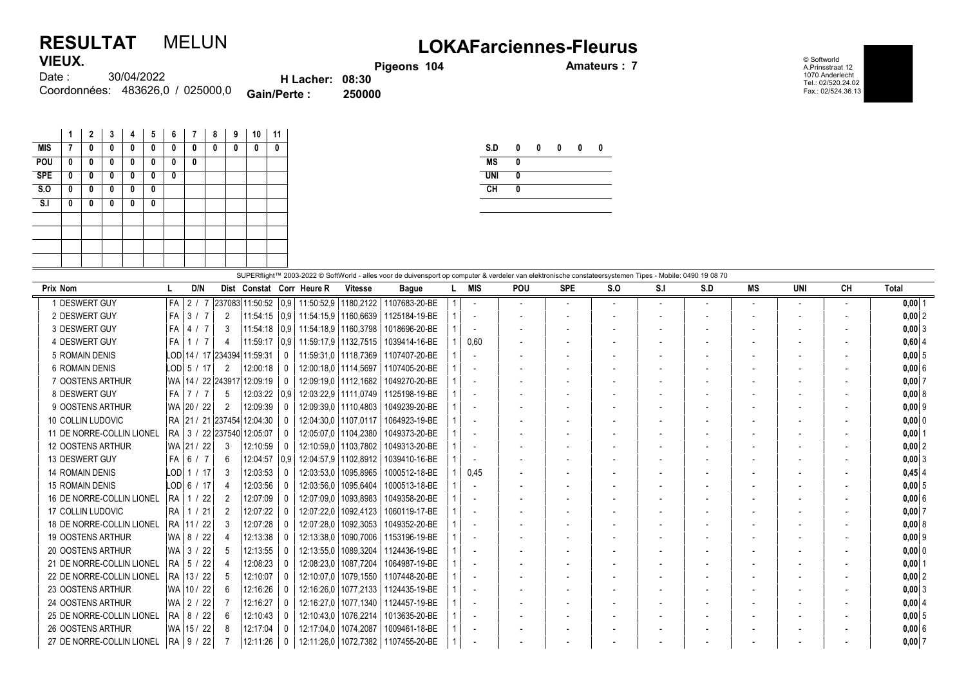## RESULTAT MELUN LOKAFarciennes-Fleurus **VIEUX**

Pigeons 104 **Amateurs : 7** 

© Softworld A.Prinsstraat 12 1070 Anderlecht Tel.: 02/520.24.02 Fax.: 02/524.36.13

| 1169A.   |                                  |                        |        |
|----------|----------------------------------|------------------------|--------|
| Date : : | 30/04/2022                       | <b>H</b> Lacher: 08:30 |        |
|          | Coordonnées: 483626.0 / 025000.0 | <b>Gain/Perte:</b>     | 250000 |

|                           | 1 | $\mathbf{2}$ | 3            | 4 | 5 | 6 | 7 | 8 | 9 | 10 | 11 |
|---------------------------|---|--------------|--------------|---|---|---|---|---|---|----|----|
| <b>MIS</b>                | 7 | 0            | 0            | 0 | 0 | 0 | 0 | 0 | 0 | 0  | 0  |
| POU                       | 0 | 0            | 0            | 0 | 0 | 0 | 0 |   |   |    |    |
| <b>SPE</b>                | 0 | 0            | $\mathbf{0}$ | 0 | 0 | 0 |   |   |   |    |    |
| $\overline{\mathsf{S}.0}$ | 0 | 0            | 0            | 0 | 0 |   |   |   |   |    |    |
| S <sub>1</sub>            | 0 | 0            | 0            | 0 | 0 |   |   |   |   |    |    |
|                           |   |              |              |   |   |   |   |   |   |    |    |
|                           |   |              |              |   |   |   |   |   |   |    |    |
|                           |   |              |              |   |   |   |   |   |   |    |    |
|                           |   |              |              |   |   |   |   |   |   |    |    |

| <b>MS</b>  | 0 |  |  |
|------------|---|--|--|
|            |   |  |  |
| <b>UNI</b> | 0 |  |  |
| <b>CH</b>  |   |  |  |

|                           | SUPERflight™ 2003-2022 © SoftWorld - alles voor de duivensport op computer & verdeler van elektronische constateersystemen Tipes - Mobile: 0490 19 08 70 |  |                |  |                |                                  |          |                                               |                        |               |  |                          |                          |            |     |                          |     |    |                          |                          |              |
|---------------------------|----------------------------------------------------------------------------------------------------------------------------------------------------------|--|----------------|--|----------------|----------------------------------|----------|-----------------------------------------------|------------------------|---------------|--|--------------------------|--------------------------|------------|-----|--------------------------|-----|----|--------------------------|--------------------------|--------------|
| Prix Nom                  |                                                                                                                                                          |  | D/N            |  |                |                                  |          | Dist Constat Corr Heure R                     | <b>Vitesse</b>         | <b>Bague</b>  |  | MIS                      | POU                      | <b>SPE</b> | S.0 | S.I                      | S.D | MS | UNI                      | CН                       | <b>Total</b> |
| 1 DESWERT GUY             | l FA                                                                                                                                                     |  | 2/             |  |                | 237083 11:50:52                  |          | 0.9 11.50.52.9 1180.2122                      |                        | 1107683-20-BE |  |                          | $\overline{\phantom{a}}$ |            |     | $\overline{\phantom{0}}$ |     |    | $\sim$                   | $\overline{\phantom{a}}$ | $0,00$ 1     |
| 2 DESWERT GUY             | l FA                                                                                                                                                     |  | 3/7            |  | $\overline{2}$ | 11:54:15                         |          | $\mid$ 0.9   11:54:15.9   1160.6639           |                        | 1125184-19-BE |  |                          | $\overline{\phantom{a}}$ |            |     |                          |     |    | $\overline{\phantom{a}}$ | $\overline{\phantom{a}}$ | $0,00$ 2     |
| 3 DESWERT GUY             | l FA                                                                                                                                                     |  | 4 / 7          |  | 3              | 11:54:18                         |          | 0.9 11.54:18.9 1160.3798                      |                        | 1018696-20-BE |  |                          | $\overline{\phantom{a}}$ |            |     |                          |     |    |                          |                          | $0,00$ 3     |
| 4 DESWERT GUY             | l FA                                                                                                                                                     |  | 1 <sub>7</sub> |  | 4              | 11:59:17                         |          | $\mid$ 0.9 $\mid$ 11:59:17.9 $\mid$ 1132.7515 |                        | 1039414-16-BE |  | 0,60                     | $\overline{\phantom{a}}$ |            |     |                          |     |    |                          |                          | $0,60$ 4     |
| 5 ROMAIN DENIS            |                                                                                                                                                          |  |                |  |                | LOD 14 / 17  234394  11:59:31    | $\Omega$ |                                               | 11:59:31.0   1118.7369 | 1107407-20-BE |  |                          | $\overline{\phantom{a}}$ |            |     |                          |     |    |                          |                          | $0,00$ 5     |
| <b>6 ROMAIN DENIS</b>     |                                                                                                                                                          |  | LOD  5  / 17   |  | $\overline{2}$ | 12:00:18                         | $\Omega$ |                                               | 12:00:18.0   1114.5697 | 1107405-20-BE |  | $\overline{\phantom{a}}$ | $\overline{\phantom{a}}$ |            |     |                          |     |    |                          |                          | 0,006        |
| 7 OOSTENS ARTHUR          |                                                                                                                                                          |  |                |  |                | WA   14 / 22   243917   12:09:19 | $\Omega$ |                                               | 12:09:19.0   1112,1682 | 1049270-20-BE |  | $\overline{a}$           | $\overline{\phantom{a}}$ |            |     |                          |     |    |                          |                          | $0,00$ 7     |
| 8 DESWERT GUY             | FA                                                                                                                                                       |  | 717            |  | -5             | 12:03:22                         | 0.9      |                                               | 12:03:22.9   1111.0749 | 1125198-19-BE |  | $\sim$                   | $\overline{\phantom{a}}$ |            |     |                          |     |    |                          |                          | 0,00   8     |
| 9 OOSTENS ARTHUR          |                                                                                                                                                          |  | WA 20 / 22     |  | $\overline{2}$ | 12:09:39                         | $\Omega$ |                                               | 12:09:39,0   1110,4803 | 1049239-20-BE |  |                          | $\overline{\phantom{a}}$ |            |     |                          |     |    |                          |                          | $0,00$ 9     |
| 10 COLLIN LUDOVIC         |                                                                                                                                                          |  |                |  |                | RA   21 / 21   237454   12:04:30 | $\Omega$ |                                               | 12:04:30,0   1107,0117 | 1064923-19-BE |  |                          |                          |            |     |                          |     |    |                          |                          | 0,00 0       |
| 11 DE NORRE-COLLIN LIONEL |                                                                                                                                                          |  |                |  |                | RA 3 / 22 237540 12:05:07        | $\Omega$ |                                               | 12:05:07.0   1104.2380 | 1049373-20-BE |  |                          | $\overline{\phantom{a}}$ |            |     |                          |     |    |                          | $\blacksquare$           | 0.0011       |
| 12 OOSTENS ARTHUR         |                                                                                                                                                          |  | WA   21 / 22   |  | 3              | 12:10:59                         | $\Omega$ |                                               | 12:10:59,0   1103,7802 | 1049313-20-BE |  |                          |                          |            |     |                          |     |    |                          |                          | $0,00$ 2     |
| 13 DESWERT GUY            | FA I                                                                                                                                                     |  | 6 / 7          |  | 6              | 12:04:57                         | 0.9      |                                               | 12:04:57.9   1102.8912 | 1039410-16-BE |  |                          | $\overline{\phantom{a}}$ |            |     |                          |     |    |                          |                          | 0,003        |
| <b>14 ROMAIN DENIS</b>    | LODI                                                                                                                                                     |  | 1/17           |  | 3              | 12:03:53                         |          | 12:03:53.0                                    | 1095,8965              | 1000512-18-BE |  | 0,45                     |                          |            |     |                          |     |    |                          |                          | $0,45$ 4     |
| <b>15 ROMAIN DENIS</b>    |                                                                                                                                                          |  | LOD  6 / 17    |  | 4              | 12:03:56                         | n        | 12:03:56,0                                    | 1095,6404              | 1000513-18-BE |  |                          | $\overline{\phantom{a}}$ |            |     |                          |     |    |                          |                          | $0,00$ 5     |
| 16 DE NORRE-COLLIN LIONEL |                                                                                                                                                          |  | RA 1 / 22      |  | 2              | 12:07:09                         |          | 12:07:09.0                                    | 1093.8983              | 1049358-20-BE |  |                          |                          |            |     |                          |     |    |                          |                          | 0,006        |
| 17 COLLIN LUDOVIC         | RA                                                                                                                                                       |  | /21            |  | $\overline{2}$ | 12:07:22                         | $\Omega$ | 12:07:22.0                                    | 1092,4123              | 1060119-17-BE |  |                          | $\overline{\phantom{a}}$ |            |     |                          |     |    |                          | $\overline{\phantom{a}}$ | 0,007        |
| 18 DE NORRE-COLLIN LIONEL |                                                                                                                                                          |  | RA 11/22       |  | 3              | 12:07:28                         |          | 12:07:28.0                                    | 1092,3053              | 1049352-20-BE |  | $\overline{a}$           | $\overline{\phantom{a}}$ |            |     |                          |     |    |                          | $\overline{\phantom{a}}$ | 0,008        |
| <b>19 OOSTENS ARTHUR</b>  |                                                                                                                                                          |  | WA 8 / 22      |  | 4              | 12:13:38                         | $\Omega$ | 12:13:38.0                                    | 1090,7006              | 1153196-19-BE |  | $\overline{\phantom{a}}$ | $\overline{\phantom{a}}$ |            |     |                          |     |    |                          |                          | $0,00$ 9     |
| 20 OOSTENS ARTHUR         |                                                                                                                                                          |  | WA 3 / 22      |  | 5              | 12:13:55                         | $\Omega$ | 12:13:55,0                                    | 1089,3204              | 1124436-19-BE |  | $\overline{\phantom{a}}$ | $\overline{\phantom{a}}$ |            |     |                          |     |    |                          |                          | 0,000        |
| 21 DE NORRE-COLLIN LIONEL | RA I                                                                                                                                                     |  | 5 / 22         |  |                | 12:08:23                         | $\Box$   | 12:08:23.0                                    | 1087,7204              | 1064987-19-BE |  |                          |                          |            |     |                          |     |    |                          |                          | $0,00$   1   |
| 22 DE NORRE-COLLIN LIONEL |                                                                                                                                                          |  | RA 13/22       |  | -5             | 12:10:07                         | $\Omega$ | 12:10:07.0                                    | 1079.1550              | 1107448-20-BE |  |                          | $\overline{\phantom{a}}$ |            |     |                          |     |    |                          |                          | 0,00 2       |
| 23 OOSTENS ARTHUR         |                                                                                                                                                          |  | WA 10 / 22     |  | 6              | 12:16:26                         | $\cup$   | 12:16:26.0                                    | 1077,2133              | 1124435-19-BE |  |                          |                          |            |     |                          |     |    |                          |                          | $0,00$ 3     |
| 24 OOSTENS ARTHUR         |                                                                                                                                                          |  | WA   2 / 22    |  |                | 12:16:27                         | $\Omega$ | 12:16:27,0                                    | 1077.1340              | 1124457-19-BE |  | $\overline{\phantom{a}}$ | $\overline{\phantom{a}}$ |            |     |                          |     |    |                          |                          | 0,00   4     |
| 25 DE NORRE-COLLIN LIONEL |                                                                                                                                                          |  | RA   8 / 22    |  | 6              | 12:10:43                         |          | 12:10:43.0                                    | 1076,2214              | 1013635-20-BE |  | $\sim$                   | $\overline{\phantom{a}}$ |            |     |                          |     |    | $\overline{\phantom{0}}$ |                          | $0,00$ 5     |
| 26 OOSTENS ARTHUR         |                                                                                                                                                          |  | WA 15 / 22     |  | -8             | 12:17:04                         | $\Omega$ | 12:17:04.0                                    | 1074,2087              | 1009461-18-BE |  | $\overline{\phantom{a}}$ | $\overline{\phantom{a}}$ |            |     |                          |     |    |                          |                          | $0,00$ 6     |
| 27 DE NORRE-COLLIN LIONEL | RA                                                                                                                                                       |  | 9/22           |  |                | 12:11:26                         | $\Omega$ | 12:11:26.0                                    | 1072,7382              | 1107455-20-BE |  |                          |                          |            |     |                          |     |    |                          |                          | $0,00$ 7     |